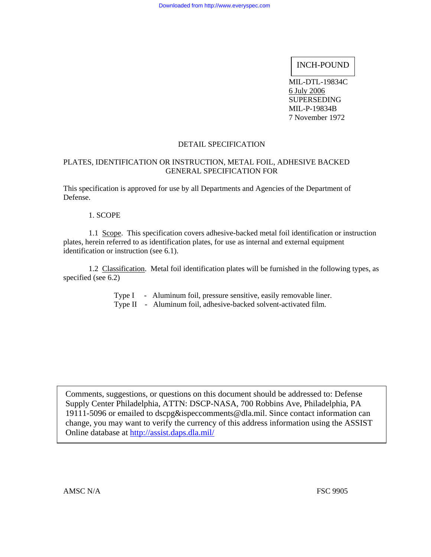# INCH-POUND

MIL-DTL-19834C 6 July 2006 SUPERSEDING MIL-P-19834B 7 November 1972

#### DETAIL SPECIFICATION

## PLATES, IDENTIFICATION OR INSTRUCTION, METAL FOIL, ADHESIVE BACKED GENERAL SPECIFICATION FOR

This specification is approved for use by all Departments and Agencies of the Department of Defense.

1. SCOPE

 1.1 Scope. This specification covers adhesive-backed metal foil identification or instruction plates, herein referred to as identification plates, for use as internal and external equipment identification or instruction (see 6.1).

 1.2 Classification. Metal foil identification plates will be furnished in the following types, as specified (see 6.2)

> Type I - Aluminum foil, pressure sensitive, easily removable liner. Type II - Aluminum foil, adhesive-backed solvent-activated film.

Comments, suggestions, or questions on this document should be addressed to: Defense Supply Center Philadelphia, ATTN: DSCP-NASA, 700 Robbins Ave, Philadelphia, PA 19111-5096 or emailed to dscpg&ispeccomments@dla.mil. Since contact information can change, you may want to verify the currency of this address information using the ASSIST Online database at <http://assist.daps.dla.mil/>

AMSC N/A FSC 9905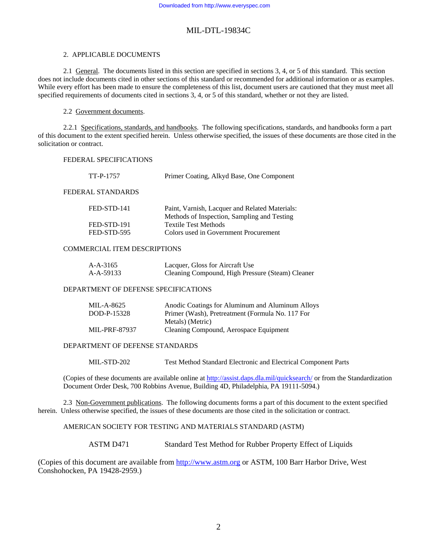#### 2. APPLICABLE DOCUMENTS

2.1 General. The documents listed in this section are specified in sections 3, 4, or 5 of this standard. This section does not include documents cited in other sections of this standard or recommended for additional information or as examples. While every effort has been made to ensure the completeness of this list, document users are cautioned that they must meet all specified requirements of documents cited in sections 3, 4, or 5 of this standard, whether or not they are listed.

#### 2.2 Government documents.

2.2.1 Specifications, standards, and handbooks. The following specifications, standards, and handbooks form a part of this document to the extent specified herein. Unless otherwise specified, the issues of these documents are those cited in the solicitation or contract.

#### FEDERAL SPECIFICATIONS

| TT-P-1757         | Primer Coating, Alkyd Base, One Component                                                     |
|-------------------|-----------------------------------------------------------------------------------------------|
| FEDERAL STANDARDS |                                                                                               |
| FED-STD-141       | Paint, Varnish, Lacquer and Related Materials:<br>Methods of Inspection, Sampling and Testing |
| FED-STD-191       | <b>Textile Test Methods</b>                                                                   |
| FED-STD-595       | Colors used in Government Procurement                                                         |

#### COMMERCIAL ITEM DESCRIPTIONS

| $A-A-3165$ | Lacquer, Gloss for Aircraft Use                  |
|------------|--------------------------------------------------|
| A-A-59133  | Cleaning Compound, High Pressure (Steam) Cleaner |

#### DEPARTMENT OF DEFENSE SPECIFICATIONS

| MIL-A-8625           | Anodic Coatings for Aluminum and Aluminum Alloys |
|----------------------|--------------------------------------------------|
| DOD-P-15328          | Primer (Wash), Pretreatment (Formula No. 117 For |
|                      | Metals) (Metric)                                 |
| <b>MIL-PRF-87937</b> | Cleaning Compound, Aerospace Equipment           |

#### DEPARTMENT OF DEFENSE STANDARDS

MIL-STD-202 Test Method Standard Electronic and Electrical Component Parts

(Copies of these documents are available online at <http://assist.daps.dla.mil/quicksearch/> or from the Standardization Document Order Desk, 700 Robbins Avenue, Building 4D, Philadelphia, PA 19111-5094.)

 2.3 Non-Government publications. The following documents forms a part of this document to the extent specified herein. Unless otherwise specified, the issues of these documents are those cited in the solicitation or contract.

#### AMERICAN SOCIETY FOR TESTING AND MATERIALS STANDARD (ASTM)

ASTM D471 Standard Test Method for Rubber Property Effect of Liquids

(Copies of this document are available from [http://www.astm.org](http://www.astm.org/) or ASTM, 100 Barr Harbor Drive, West Conshohocken, PA 19428-2959.)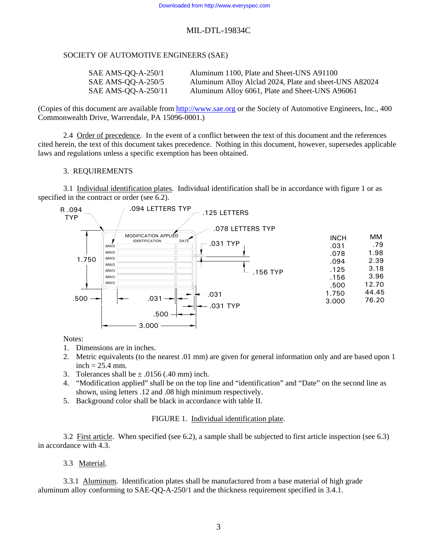## SOCIETY OF AUTOMOTIVE ENGINEERS (SAE)

| SAE AMS-QQ-A-250/1  | Aluminum 1100, Plate and Sheet-UNS A91100              |
|---------------------|--------------------------------------------------------|
| SAE AMS-QQ-A-250/5  | Aluminum Alloy Alclad 2024, Plate and sheet-UNS A82024 |
| SAE AMS-QQ-A-250/11 | Aluminum Alloy 6061, Plate and Sheet-UNS A96061        |

(Copies of this document are available from [http://www.sae.org](http://www.sae.org/) or the Society of Automotive Engineers, Inc., 400 Commonwealth Drive, Warrendale, PA 15096-0001.)

 2.4 Order of precedence. In the event of a conflict between the text of this document and the references cited herein, the text of this document takes precedence. Nothing in this document, however, supersedes applicable laws and regulations unless a specific exemption has been obtained.

## 3. REQUIREMENTS

 3.1 Individual identification plates. Individual identification shall be in accordance with figure 1 or as specified in the contract or order (see 6.2).



Notes:

- 1. Dimensions are in inches.
- 2. Metric equivalents (to the nearest .01 mm) are given for general information only and are based upon 1  $inch = 25.4$  mm.
- 3. Tolerances shall be  $\pm$  .0156 (.40 mm) inch.
- 4. "Modification applied" shall be on the top line and "identification" and "Date" on the second line as shown, using letters .12 and .08 high minimum respectively.
- 5. Background color shall be black in accordance with table II.

## FIGURE 1. Individual identification plate.

 3.2 First article. When specified (see 6.2), a sample shall be subjected to first article inspection (see 6.3) in accordance with 4.3.

## 3.3 Material.

 3.3.1 Aluminum. Identification plates shall be manufactured from a base material of high grade aluminum alloy conforming to SAE-QQ-A-250/1 and the thickness requirement specified in 3.4.1.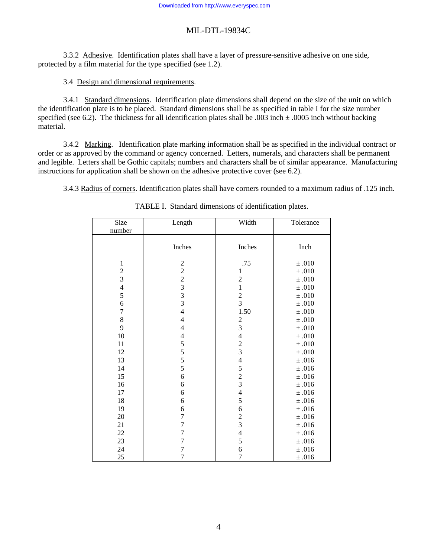3.3.2 Adhesive. Identification plates shall have a layer of pressure-sensitive adhesive on one side, protected by a film material for the type specified (see 1.2).

#### 3.4 Design and dimensional requirements.

3.4.1 Standard dimensions. Identification plate dimensions shall depend on the size of the unit on which the identification plate is to be placed. Standard dimensions shall be as specified in table I for the size number specified (see 6.2). The thickness for all identification plates shall be .003 inch  $\pm$  .0005 inch without backing material.

3.4.2 Marking. Identification plate marking information shall be as specified in the individual contract or order or as approved by the command or agency concerned. Letters, numerals, and characters shall be permanent and legible. Letters shall be Gothic capitals; numbers and characters shall be of similar appearance. Manufacturing instructions for application shall be shown on the adhesive protective cover (see 6.2).

3.4.3 Radius of corners. Identification plates shall have corners rounded to a maximum radius of .125 inch.

| Size<br>number   | Length                                                 | Width                                           | Tolerance  |
|------------------|--------------------------------------------------------|-------------------------------------------------|------------|
|                  | Inches                                                 | Inches                                          | Inch       |
| $\,1\,$          | $\overline{c}$                                         | .75                                             | $\pm .010$ |
|                  |                                                        | $\mathbf{1}$                                    | $\pm$ .010 |
| $\frac{2}{3}$    |                                                        | $\overline{c}$                                  | $\pm$ .010 |
|                  |                                                        | $\mathbf{1}$                                    | $\pm$ .010 |
| $\frac{4}{5}$    |                                                        |                                                 | $\pm$ .010 |
| $\overline{6}$   | $\begin{array}{c}\n2 \\ 2 \\ 3 \\ 3 \\ 3\n\end{array}$ | $\frac{2}{3}$                                   | $\pm$ .010 |
| $\overline{7}$   | $\overline{4}$                                         | 1.50                                            | $\pm$ .010 |
| $\boldsymbol{8}$ | $\overline{4}$                                         |                                                 | $\pm$ .010 |
| 9                | $\overline{4}$                                         | $\frac{2}{3}$                                   | $\pm$ .010 |
| 10               | $\overline{4}$                                         | $\overline{4}$                                  | $\pm .010$ |
| 11               |                                                        |                                                 | $\pm$ .010 |
| 12               |                                                        | $\frac{2}{3}$                                   | $\pm$ .010 |
| 13               | $\frac{5}{5}$<br>$\frac{5}{5}$                         |                                                 | $\pm .016$ |
| 14               |                                                        |                                                 | $\pm .016$ |
| 15               | 6                                                      |                                                 | $\pm .016$ |
| 16               | 6                                                      | $\begin{array}{c} 4 \\ 5 \\ 2 \\ 3 \end{array}$ | $\pm$ .016 |
| 17               | 6                                                      | $\overline{4}$                                  | $\pm .016$ |
| 18               | 6                                                      | 5                                               | $\pm .016$ |
| 19               | $\sqrt{6}$                                             | 6                                               | $\pm$ .016 |
| 20               | $\overline{7}$                                         |                                                 | $\pm .016$ |
| 21               | $\overline{7}$                                         | $\frac{2}{3}$                                   | $\pm .016$ |
| $22\,$           | $\overline{7}$                                         | $\overline{4}$                                  | $\pm$ .016 |
| 23               | $\overline{7}$                                         | 5                                               | $\pm .016$ |
| 24               | $\overline{7}$                                         | 6                                               | $\pm$ .016 |
| 25               | $\boldsymbol{7}$                                       | $\overline{7}$                                  | $\pm$ .016 |

## TABLE I. Standard dimensions of identification plates.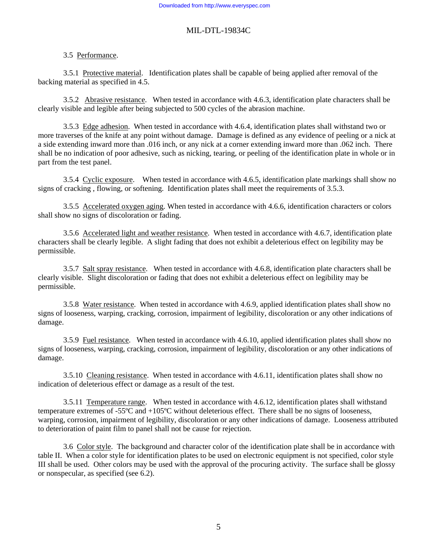#### 3.5 Performance.

 3.5.1 Protective material. Identification plates shall be capable of being applied after removal of the backing material as specified in 4.5.

3.5.2 Abrasive resistance. When tested in accordance with 4.6.3, identification plate characters shall be clearly visible and legible after being subjected to 500 cycles of the abrasion machine.

 3.5.3 Edge adhesion. When tested in accordance with 4.6.4, identification plates shall withstand two or more traverses of the knife at any point without damage. Damage is defined as any evidence of peeling or a nick at a side extending inward more than .016 inch, or any nick at a corner extending inward more than .062 inch. There shall be no indication of poor adhesive, such as nicking, tearing, or peeling of the identification plate in whole or in part from the test panel.

 3.5.4 Cyclic exposure. When tested in accordance with 4.6.5, identification plate markings shall show no signs of cracking , flowing, or softening. Identification plates shall meet the requirements of 3.5.3.

3.5.5 Accelerated oxygen aging. When tested in accordance with 4.6.6, identification characters or colors shall show no signs of discoloration or fading.

 3.5.6 Accelerated light and weather resistance. When tested in accordance with 4.6.7, identification plate characters shall be clearly legible. A slight fading that does not exhibit a deleterious effect on legibility may be permissible.

 3.5.7 Salt spray resistance. When tested in accordance with 4.6.8, identification plate characters shall be clearly visible. Slight discoloration or fading that does not exhibit a deleterious effect on legibility may be permissible.

 3.5.8 Water resistance. When tested in accordance with 4.6.9, applied identification plates shall show no signs of looseness, warping, cracking, corrosion, impairment of legibility, discoloration or any other indications of damage.

 3.5.9 Fuel resistance. When tested in accordance with 4.6.10, applied identification plates shall show no signs of looseness, warping, cracking, corrosion, impairment of legibility, discoloration or any other indications of damage.

 3.5.10 Cleaning resistance. When tested in accordance with 4.6.11, identification plates shall show no indication of deleterious effect or damage as a result of the test.

 3.5.11 Temperature range. When tested in accordance with 4.6.12, identification plates shall withstand temperature extremes of -55ºC and +105ºC without deleterious effect. There shall be no signs of looseness, warping, corrosion, impairment of legibility, discoloration or any other indications of damage. Looseness attributed to deterioration of paint film to panel shall not be cause for rejection.

 3.6 Color style. The background and character color of the identification plate shall be in accordance with table II. When a color style for identification plates to be used on electronic equipment is not specified, color style III shall be used. Other colors may be used with the approval of the procuring activity. The surface shall be glossy or nonspecular, as specified (see 6.2).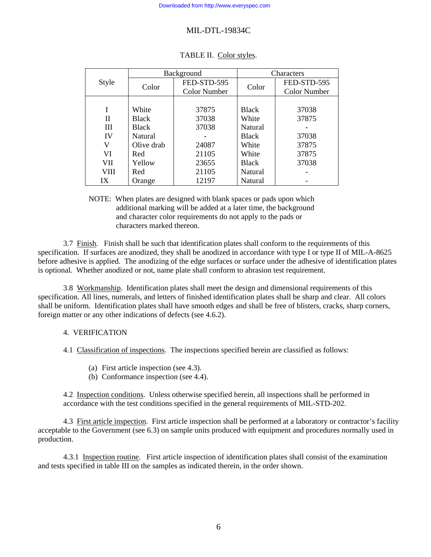|       | Background   |                     | Characters   |                     |
|-------|--------------|---------------------|--------------|---------------------|
| Style |              | FED-STD-595         |              | FED-STD-595         |
|       | Color        | <b>Color Number</b> | Color        | <b>Color Number</b> |
|       |              |                     |              |                     |
| I     | White        | 37875               | <b>Black</b> | 37038               |
| П     | <b>Black</b> | 37038               | White        | 37875               |
| Ш     | <b>Black</b> | 37038               | Natural      |                     |
| IV    | Natural      |                     | <b>Black</b> | 37038               |
| V     | Olive drab   | 24087               | White        | 37875               |
| VI    | Red          | 21105               | White        | 37875               |
| VII   | Yellow       | 23655               | <b>Black</b> | 37038               |
| VIII  | Red          | 21105               | Natural      |                     |
| IX    | Orange       | 12197               | Natural      |                     |

| TABLE II. Color styles. |
|-------------------------|
|-------------------------|

NOTE: When plates are designed with blank spaces or pads upon which additional marking will be added at a later time, the background and character color requirements do not apply to the pads or characters marked thereon.

 3.7 Finish. Finish shall be such that identification plates shall conform to the requirements of this specification. If surfaces are anodized, they shall be anodized in accordance with type I or type II of MIL-A-8625 before adhesive is applied. The anodizing of the edge surfaces or surface under the adhesive of identification plates is optional. Whether anodized or not, name plate shall conform to abrasion test requirement.

 3.8 Workmanship. Identification plates shall meet the design and dimensional requirements of this specification. All lines, numerals, and letters of finished identification plates shall be sharp and clear. All colors shall be uniform. Identification plates shall have smooth edges and shall be free of blisters, cracks, sharp corners, foreign matter or any other indications of defects (see 4.6.2).

## 4. VERIFICATION

4.1 Classification of inspections. The inspections specified herein are classified as follows:

- (a) First article inspection (see 4.3).
- (b) Conformance inspection (see 4.4).

4.2 Inspection conditions. Unless otherwise specified herein, all inspections shall be performed in accordance with the test conditions specified in the general requirements of MIL-STD-202.

4.3 First article inspection. First article inspection shall be performed at a laboratory or contractor's facility acceptable to the Government (see 6.3) on sample units produced with equipment and procedures normally used in production.

 4.3.1 Inspection routine. First article inspection of identification plates shall consist of the examination and tests specified in table III on the samples as indicated therein, in the order shown.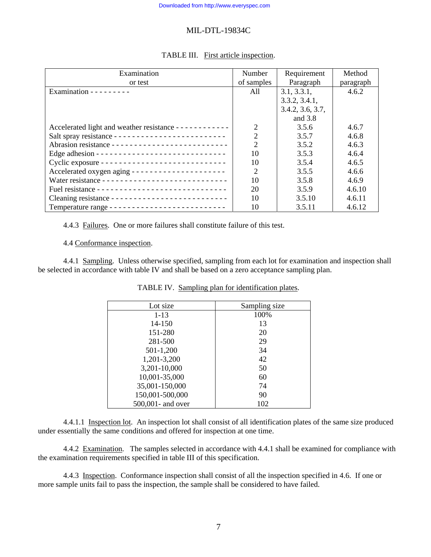| Examination                                                        | Number         | Requirement      | Method    |
|--------------------------------------------------------------------|----------------|------------------|-----------|
| or test                                                            | of samples     | Paragraph        | paragraph |
| Examination - - - - - - - - -                                      | All            | 3.1, 3.3.1,      | 4.6.2     |
|                                                                    |                | 3.3.2, 3.4.1,    |           |
|                                                                    |                | 3.4.2, 3.6, 3.7, |           |
|                                                                    |                | and $3.8$        |           |
| Accelerated light and weather resistance - - - - - - - - - - - - - | $\overline{2}$ | 3.5.6            | 4.6.7     |
|                                                                    | $\overline{2}$ | 3.5.7            | 4.6.8     |
|                                                                    | $\overline{2}$ | 3.5.2            | 4.6.3     |
| Edge adhesion --------------------------------                     | 10             | 3.5.3            | 4.6.4     |
|                                                                    | 10             | 3.5.4            | 4.6.5     |
|                                                                    | $\overline{2}$ | 3.5.5            | 4.6.6     |
| Water resistance -----------------------------                     | 10             | 3.5.8            | 4.6.9     |
|                                                                    | 20             | 3.5.9            | 4.6.10    |
|                                                                    | 10             | 3.5.10           | 4.6.11    |
|                                                                    | 10             | 3.5.11           | 4.6.12    |

# TABLE III. First article inspection.

4.4.3 Failures. One or more failures shall constitute failure of this test.

4.4 Conformance inspection.

 4.4.1 Sampling. Unless otherwise specified, sampling from each lot for examination and inspection shall be selected in accordance with table IV and shall be based on a zero acceptance sampling plan.

| Sampling size |
|---------------|
| 100%          |
| 13            |
| 20            |
| 29            |
| 34            |
| 42            |
| 50            |
| 60            |
| 74            |
| 90            |
| 102           |
|               |

TABLE IV. Sampling plan for identification plates.

4.4.1.1 Inspection lot. An inspection lot shall consist of all identification plates of the same size produced under essentially the same conditions and offered for inspection at one time.

4.4.2 Examination. The samples selected in accordance with 4.4.1 shall be examined for compliance with the examination requirements specified in table III of this specification.

 4.4.3 Inspection. Conformance inspection shall consist of all the inspection specified in 4.6. If one or more sample units fail to pass the inspection, the sample shall be considered to have failed.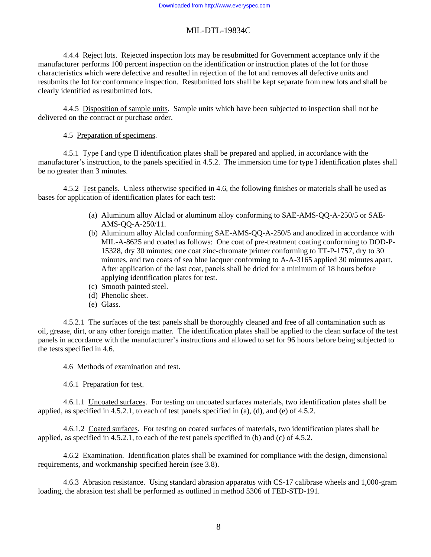4.4.4 Reject lots. Rejected inspection lots may be resubmitted for Government acceptance only if the manufacturer performs 100 percent inspection on the identification or instruction plates of the lot for those characteristics which were defective and resulted in rejection of the lot and removes all defective units and resubmits the lot for conformance inspection. Resubmitted lots shall be kept separate from new lots and shall be clearly identified as resubmitted lots.

 4.4.5 Disposition of sample units. Sample units which have been subjected to inspection shall not be delivered on the contract or purchase order.

4.5 Preparation of specimens.

4.5.1 Type I and type II identification plates shall be prepared and applied, in accordance with the manufacturer's instruction, to the panels specified in 4.5.2. The immersion time for type I identification plates shall be no greater than 3 minutes.

 4.5.2 Test panels. Unless otherwise specified in 4.6, the following finishes or materials shall be used as bases for application of identification plates for each test:

- (a) Aluminum alloy Alclad or aluminum alloy conforming to SAE-AMS-QQ-A-250/5 or SAE-AMS-QQ-A-250/11.
- (b) Aluminum alloy Alclad conforming SAE-AMS-QQ-A-250/5 and anodized in accordance with MIL-A-8625 and coated as follows: One coat of pre-treatment coating conforming to DOD-P-15328, dry 30 minutes; one coat zinc-chromate primer conforming to TT-P-1757, dry to 30 minutes, and two coats of sea blue lacquer conforming to A-A-3165 applied 30 minutes apart. After application of the last coat, panels shall be dried for a minimum of 18 hours before applying identification plates for test.
- (c) Smooth painted steel.
- (d) Phenolic sheet.
- (e) Glass.

4.5.2.1 The surfaces of the test panels shall be thoroughly cleaned and free of all contamination such as oil, grease, dirt, or any other foreign matter. The identification plates shall be applied to the clean surface of the test panels in accordance with the manufacturer's instructions and allowed to set for 96 hours before being subjected to the tests specified in 4.6.

4.6 Methods of examination and test.

4.6.1 Preparation for test.

4.6.1.1 Uncoated surfaces. For testing on uncoated surfaces materials, two identification plates shall be applied, as specified in  $4.5.2.1$ , to each of test panels specified in (a), (d), and (e) of  $4.5.2$ .

 4.6.1.2 Coated surfaces. For testing on coated surfaces of materials, two identification plates shall be applied, as specified in 4.5.2.1, to each of the test panels specified in (b) and (c) of 4.5.2.

 4.6.2 Examination. Identification plates shall be examined for compliance with the design, dimensional requirements, and workmanship specified herein (see 3.8).

 4.6.3 Abrasion resistance. Using standard abrasion apparatus with CS-17 calibrase wheels and 1,000-gram loading, the abrasion test shall be performed as outlined in method 5306 of FED-STD-191.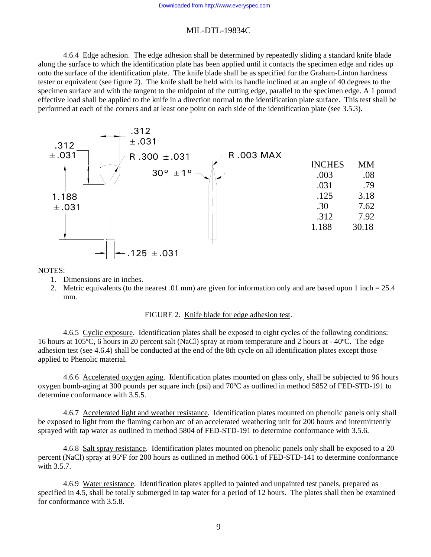4.6.4 Edge adhesion. The edge adhesion shall be determined by repeatedly sliding a standard knife blade along the surface to which the identification plate has been applied until it contacts the specimen edge and rides up onto the surface of the identification plate. The knife blade shall be as specified for the Graham-Linton hardness tester or equivalent (see figure 2). The knife shall be held with its handle inclined at an angle of 40 degrees to the specimen surface and with the tangent to the midpoint of the cutting edge, parallel to the specimen edge. A 1 pound effective load shall be applied to the knife in a direction normal to the identification plate surface. This test shall be performed at each of the corners and at least one point on each side of the identification plate (see 3.5.3).



NOTES:

- 1. Dimensions are in inches.
- 2. Metric equivalents (to the nearest .01 mm) are given for information only and are based upon 1 inch = 25.4 mm.

#### FIGURE 2. Knife blade for edge adhesion test.

 4.6.5 Cyclic exposure. Identification plates shall be exposed to eight cycles of the following conditions: 16 hours at 105ºC, 6 hours in 20 percent salt (NaCl) spray at room temperature and 2 hours at - 40ºC. The edge adhesion test (see 4.6.4) shall be conducted at the end of the 8th cycle on all identification plates except those applied to Phenolic material.

 4.6.6 Accelerated oxygen aging. Identification plates mounted on glass only, shall be subjected to 96 hours oxygen bomb-aging at 300 pounds per square inch (psi) and 70ºC as outlined in method 5852 of FED-STD-191 to determine conformance with 3.5.5.

 4.6.7 Accelerated light and weather resistance. Identification plates mounted on phenolic panels only shall be exposed to light from the flaming carbon arc of an accelerated weathering unit for 200 hours and intermittently sprayed with tap water as outlined in method 5804 of FED-STD-191 to determine conformance with 3.5.6.

4.6.8 Salt spray resistance. Identification plates mounted on phenolic panels only shall be exposed to a 20 percent (NaCl) spray at 95ºF for 200 hours as outlined in method 606.1 of FED-STD-141 to determine conformance with 3.5.7.

 4.6.9 Water resistance. Identification plates applied to painted and unpainted test panels, prepared as specified in 4.5, shall be totally submerged in tap water for a period of 12 hours. The plates shall then be examined for conformance with 3.5.8.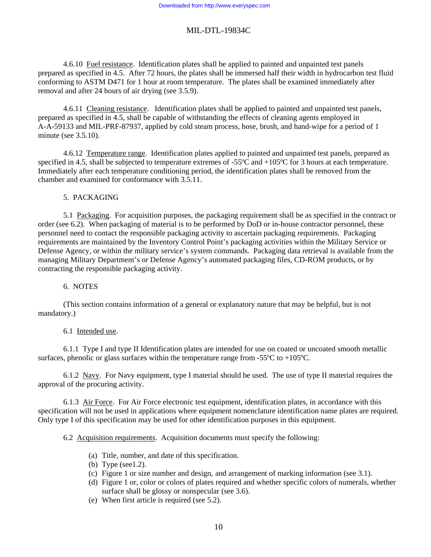4.6.10 Fuel resistance. Identification plates shall be applied to painted and unpainted test panels prepared as specified in 4.5. After 72 hours, the plates shall be immersed half their width in hydrocarbon test fluid conforming to ASTM D471 for 1 hour at room temperature. The plates shall be examined immediately after removal and after 24 hours of air drying (see 3.5.9).

 4.6.11 Cleaning resistance. Identification plates shall be applied to painted and unpainted test panels, prepared as specified in 4.5, shall be capable of withstanding the effects of cleaning agents employed in A-A-59133 and MIL-PRF-87937, applied by cold steam process, hose, brush, and hand-wipe for a period of 1 minute (see 3.5.10).

 4.6.12 Temperature range. Identification plates applied to painted and unpainted test panels, prepared as specified in 4.5, shall be subjected to temperature extremes of -55°C and +105°C for 3 hours at each temperature. Immediately after each temperature conditioning period, the identification plates shall be removed from the chamber and examined for conformance with 3.5.11.

## 5. PACKAGING

5.1 Packaging. For acquisition purposes, the packaging requirement shall be as specified in the contract or order (see 6.2). When packaging of material is to be performed by DoD or in-house contractor personnel, these personnel need to contact the responsible packaging activity to ascertain packaging requirements. Packaging requirements are maintained by the Inventory Control Point's packaging activities within the Military Service or Defense Agency, or within the military service's system commands. Packaging data retrieval is available from the managing Military Department's or Defense Agency's automated packaging files, CD-ROM products, or by contracting the responsible packaging activity.

## 6. NOTES

(This section contains information of a general or explanatory nature that may be helpful, but is not mandatory.)

## 6.1 Intended use.

6.1.1 Type I and type II Identification plates are intended for use on coated or uncoated smooth metallic surfaces, phenolic or glass surfaces within the temperature range from -55 $\degree$ C to +105 $\degree$ C.

 6.1.2 Navy. For Navy equipment, type I material should be used. The use of type II material requires the approval of the procuring activity.

 6.1.3 Air Force. For Air Force electronic test equipment, identification plates, in accordance with this specification will not be used in applications where equipment nomenclature identification name plates are required. Only type I of this specification may be used for other identification purposes in this equipment.

6.2 Acquisition requirements. Acquisition documents must specify the following:

- (a) Title, number, and date of this specification.
- (b) Type (see1.2).
- (c) Figure 1 or size number and design, and arrangement of marking information (see 3.1).
- (d) Figure 1 or, color or colors of plates required and whether specific colors of numerals, whether surface shall be glossy or nonspecular (see 3.6).
- (e) When first article is required (see 5.2).